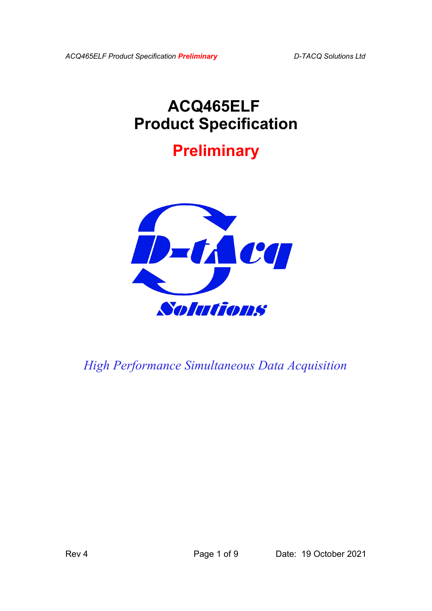*ACQ465ELF Product Specification Preliminary D-TACQ Solutions Ltd*

# **ACQ465ELF Product Specification**

# **Preliminary**



*High Performance Simultaneous Data Acquisition*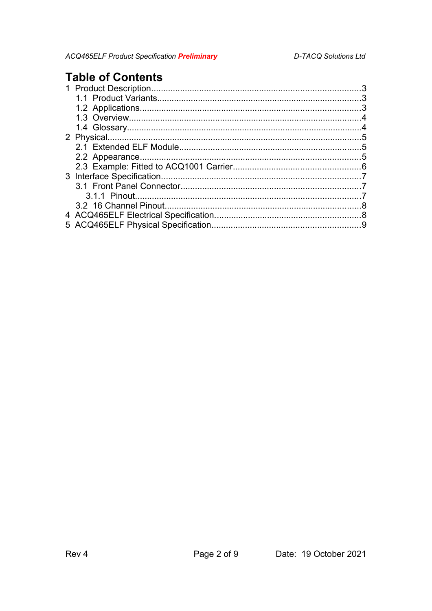## **Table of Contents**

| $\sim$ 3                            |    |
|-------------------------------------|----|
|                                     |    |
|                                     | 4  |
|                                     | 4  |
|                                     | 5  |
|                                     |    |
|                                     |    |
|                                     |    |
|                                     |    |
|                                     |    |
|                                     |    |
|                                     | .8 |
|                                     |    |
| 5 ACQ465ELF Physical Specification. |    |
|                                     |    |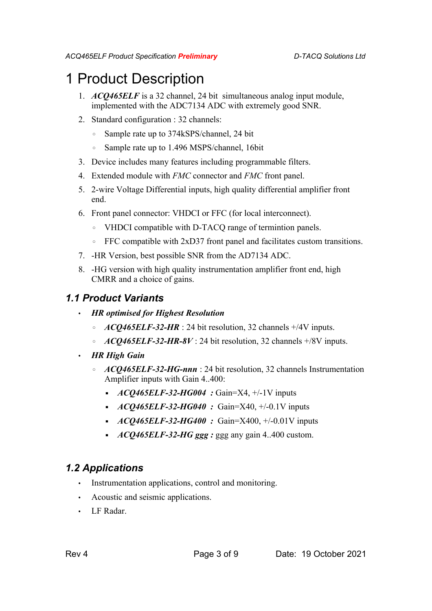## 1 Product Description

- 1. *ACQ465ELF* is a 32 channel, 24 bit simultaneous analog input module, implemented with the ADC7134 ADC with extremely good SNR.
- 2. Standard configuration : 32 channels:
	- Sample rate up to 374kSPS/channel, 24 bit
	- Sample rate up to 1.496 MSPS/channel, 16bit
- 3. Device includes many features including programmable filters.
- 4. Extended module with *FMC* connector and *FMC* front panel.
- 5. 2-wire Voltage Differential inputs, high quality differential amplifier front end.
- 6. Front panel connector: VHDCI or FFC (for local interconnect).
	- VHDCI compatible with D-TACQ range of termintion panels.
	- FFC compatible with 2xD37 front panel and facilitates custom transitions.
- 7. -HR Version, best possible SNR from the AD7134 ADC.
- 8. -HG version with high quality instrumentation amplifier front end, high CMRR and a choice of gains.

#### *1.1 Product Variants*

- *HR optimised for Highest Resolution*
	- *ACQ465ELF-32-HR* : 24 bit resolution, 32 channels +/4V inputs.
	- *ACQ465ELF-32-HR-8V* : 24 bit resolution, 32 channels +/8V inputs.
- *HR High Gain*
	- *ACQ465ELF-32-HG-nnn* : 24 bit resolution, 32 channels Instrumentation Amplifier inputs with Gain 4..400:
		- *ACQ465ELF-32-HG004* : Gain=X4, +/-1V inputs
		- *ACQ465ELF-32-HG040* : Gain=X40, +/-0.1V inputs
		- *ACQ465ELF-32-HG400* : Gain=X400, +/-0.01V inputs
		- *ACQ465ELF-32-HG ggg :* ggg any gain 4..400 custom.

### *1.2 Applications*

- Instrumentation applications, control and monitoring.
- Acoustic and seismic applications.
- LF Radar.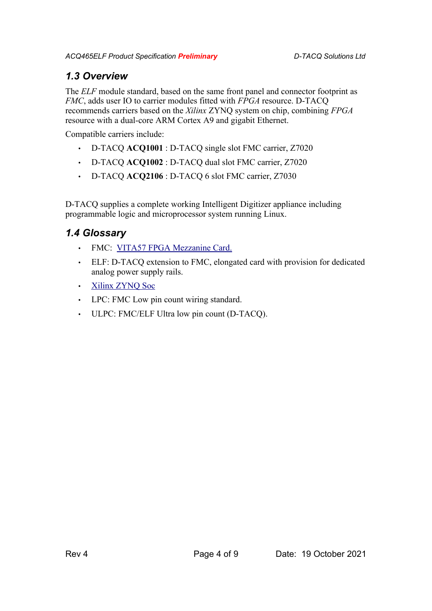### *1.3 Overview*

The *ELF* module standard, based on the same front panel and connector footprint as *FMC*, adds user IO to carrier modules fitted with *FPGA* resource. D-TACQ recommends carriers based on the *Xilinx* ZYNQ system on chip, combining *FPGA* resource with a dual-core ARM Cortex A9 and gigabit Ethernet.

Compatible carriers include:

- D-TACQ **ACQ1001** : D-TACQ single slot FMC carrier, Z7020
- D-TACQ **ACQ1002** : D-TACQ dual slot FMC carrier, Z7020
- D-TACQ **ACQ2106** : D-TACQ 6 slot FMC carrier, Z7030

D-TACQ supplies a complete working Intelligent Digitizer appliance including programmable logic and microprocessor system running Linux.

## *1.4 Glossary*

- FMC: [VITA57 FPGA Mezzanine Card.](http://www.vita.com/fmc.html)
- ELF: D-TACQ extension to FMC, elongated card with provision for dedicated analog power supply rails.
- • [Xilinx ZYNQ Soc](http://www.xilinx.com/products/silicon-devices/soc/zynq-7000/index.htm)
- LPC: FMC Low pin count wiring standard.
- ULPC: FMC/ELF Ultra low pin count (D-TACQ).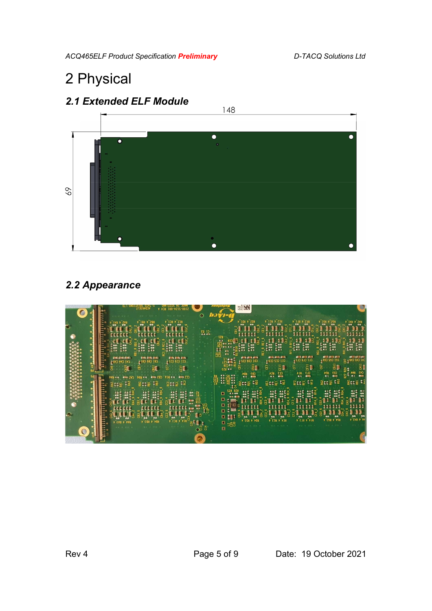# 2 Physical



## *2.2 Appearance*

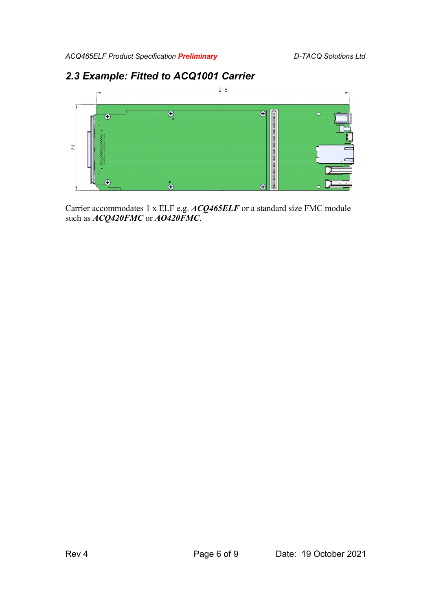## *2.3 Example: Fitted to ACQ1001 Carrier*



Carrier accommodates 1 x ELF e.g. *ACQ465ELF* or a standard size FMC module such as *ACQ420FMC* or *AO420FMC*.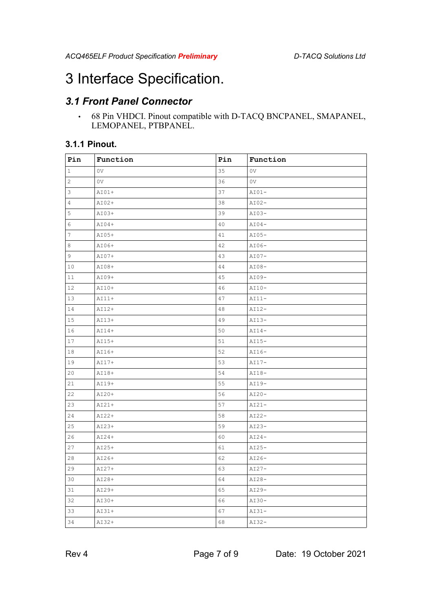# 3 Interface Specification.

## *3.1 Front Panel Connector*

• 68 Pin VHDCI. Pinout compatible with D-TACQ BNCPANEL, SMAPANEL, LEMOPANEL, PTBPANEL.

#### **3.1.1 Pinout.**

| Pin          | Function       | Pin | Function       |
|--------------|----------------|-----|----------------|
| $\mathbf{1}$ | 0V             | 35  | 0 <sub>V</sub> |
| 2            | 0 <sub>V</sub> | 36  | 0 <sub>V</sub> |
| 3            | $AIO1+$        | 37  | $AI01-$        |
| 4            | $AIO2+$        | 38  | $AI02-$        |
| 5            | $AIO3+$        | 39  | $AI03-$        |
| 6            | $AI04+$        | 40  | $AI04-$        |
| 7            | $AIO5+$        | 41  | $AI05-$        |
| 8            | AI06+          | 42  | $AI06-$        |
| 9            | $AIO7+$        | 43  | $AIO7-$        |
| 10           | AI08+          | 44  | AI08-          |
| 11           | AI09+          | 45  | $AIO9-$        |
| 12           | $AI10+$        | 46  | $AI10-$        |
| 13           | $AI11+$        | 47  | $AI11-$        |
| 14           | $AI12+$        | 48  | $AI12-$        |
| 15           | $AI13+$        | 49  | $AI13-$        |
| 16           | $AII4+$        | 50  | $AI14-$        |
| 17           | $AII5+$        | 51  | $AI15-$        |
| 18           | AI16+          | 52  | $AI16-$        |
| 19           | $AI17+$        | 53  | $AI17-$        |
| 20           | AI18+          | 54  | $AI18-$        |
| 21           | AI19+          | 55  | $AI19-$        |
| 22           | $AIO+$         | 56  | $AI20-$        |
| 23           | $A121+$        | 57  | $AI21-$        |
| 24           | $A122+$        | 58  | $AI22-$        |
| 25           | $AIO3+$        | 59  | $AI23-$        |
| 26           | $AIO4+$        | 60  | $AI24-$        |
| 27           | $A125+$        | 61  | $AI25-$        |
| 28           | AI26+          | 62  | $AI26-$        |
| 29           | $AI27+$        | 63  | $AI27-$        |
| 30           | AI28+          | 64  | $AI28-$        |
| 31           | AI29+          | 65  | $AIO9-$        |
| 32           | AI30+          | 66  | AI30-          |
| 33           | $A131+$        | 67  | $AI31-$        |
| 34           | AI32+          | 68  | $AI32-$        |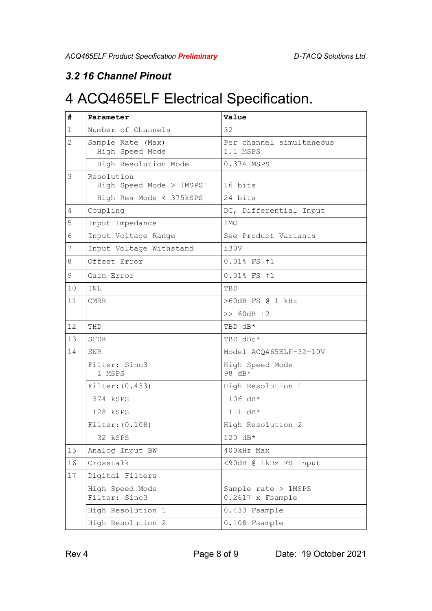### *3.2 16 Channel Pinout*

# 4 ACQ465ELF Electrical Specification.

| #              | Parameter                            | Value                                   |
|----------------|--------------------------------------|-----------------------------------------|
| $\mathbf{1}$   | Number of Channels                   | 32                                      |
| $\overline{2}$ | Sample Rate (Max)<br>High Speed Mode | Per channel simultaneous<br>1.1 MSPS    |
|                | High Resolution Mode                 | 0.374 MSPS                              |
| 3              | Resolution                           |                                         |
|                | High Speed Mode > 1MSPS              | 16 bits                                 |
|                | High Res Mode < 375kSPS              | 24 bits                                 |
| 4              | Coupling                             | DC, Differential Input                  |
| 5              | Input Impedance                      | $1$ M $\Omega$                          |
| 6              | Input Voltage Range                  | See Product Variants                    |
| 7              | Input Voltage Withstand              | ±30V                                    |
| 8              | Offset Error                         | 0.01% FS +1                             |
| $\mathsf 9$    | Gain Error                           | 0.01% FS +1                             |
| 10             | INL                                  | TBD                                     |
| 11             | CMRR                                 | >60dB FS @ 1 kHz                        |
|                |                                      | >> 60dB +2                              |
| 12             | THD                                  | TBD dB*                                 |
| 13             | SFDR                                 | TBD dBc*                                |
| 14             | <b>SNR</b>                           | Model ACQ465ELF-32-10V                  |
|                | Filter: Sinc3<br>1 MSPS              | High Speed Mode<br>98 dB*               |
|                | Filter: (0.433)                      | High Resolution 1                       |
|                | 374 kSPS                             | 106 dB*                                 |
|                | 128 kSPS                             | 111 dB*                                 |
|                | Filter: (0.108)                      | High Resolution 2                       |
|                | 32 kSPS                              | $120 \text{ dB*}$                       |
| 15             | Analog Input BW                      | 400kHz Max                              |
| 16             | Crosstalk                            | <90dB @ 1kHz FS Input                   |
| 17             | Digital Filters                      |                                         |
|                | High Speed Mode<br>Filter: Sinc3     | Sample rate > 1MSPS<br>0.2617 x Fsample |
|                | High Resolution 1                    | 0.433 Fsample                           |
|                | High Resolution 2                    | 0.108 Fsample                           |